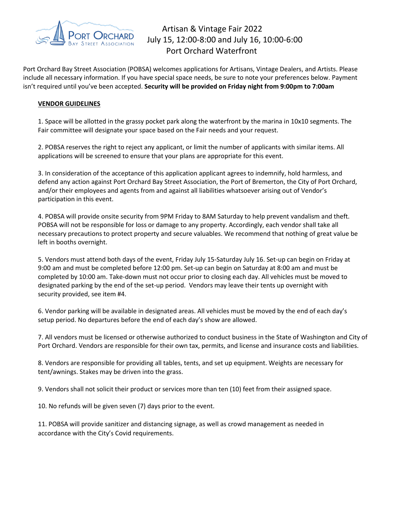

## Artisan & Vintage Fair 2022 July 15, 12:00-8:00 and July 16, 10:00-6:00 Port Orchard Waterfront

Port Orchard Bay Street Association (POBSA) welcomes applications for Artisans, Vintage Dealers, and Artists. Please include all necessary information. If you have special space needs, be sure to note your preferences below. Payment isn't required until you've been accepted. **Security will be provided on Friday night from 9:00pm to 7:00am**

## **VENDOR GUIDELINES**

1. Space will be allotted in the grassy pocket park along the waterfront by the marina in 10x10 segments. The Fair committee will designate your space based on the Fair needs and your request.

2. POBSA reserves the right to reject any applicant, or limit the number of applicants with similar items. All applications will be screened to ensure that your plans are appropriate for this event.

3. In consideration of the acceptance of this application applicant agrees to indemnify, hold harmless, and defend any action against Port Orchard Bay Street Association, the Port of Bremerton, the City of Port Orchard, and/or their employees and agents from and against all liabilities whatsoever arising out of Vendor's participation in this event.

4. POBSA will provide onsite security from 9PM Friday to 8AM Saturday to help prevent vandalism and theft. POBSA will not be responsible for loss or damage to any property. Accordingly, each vendor shall take all necessary precautions to protect property and secure valuables. We recommend that nothing of great value be left in booths overnight.

5. Vendors must attend both days of the event, Friday July 15-Saturday July 16. Set-up can begin on Friday at 9:00 am and must be completed before 12:00 pm. Set-up can begin on Saturday at 8:00 am and must be completed by 10:00 am. Take-down must not occur prior to closing each day. All vehicles must be moved to designated parking by the end of the set-up period. Vendors may leave their tents up overnight with security provided, see item #4.

6. Vendor parking will be available in designated areas. All vehicles must be moved by the end of each day's setup period. No departures before the end of each day's show are allowed.

7. All vendors must be licensed or otherwise authorized to conduct business in the State of Washington and City of Port Orchard. Vendors are responsible for their own tax, permits, and license and insurance costs and liabilities.

8. Vendors are responsible for providing all tables, tents, and set up equipment. Weights are necessary for tent/awnings. Stakes may be driven into the grass.

9. Vendors shall not solicit their product or services more than ten (10) feet from their assigned space.

10. No refunds will be given seven (7) days prior to the event.

11. POBSA will provide sanitizer and distancing signage, as well as crowd management as needed in accordance with the City's Covid requirements.